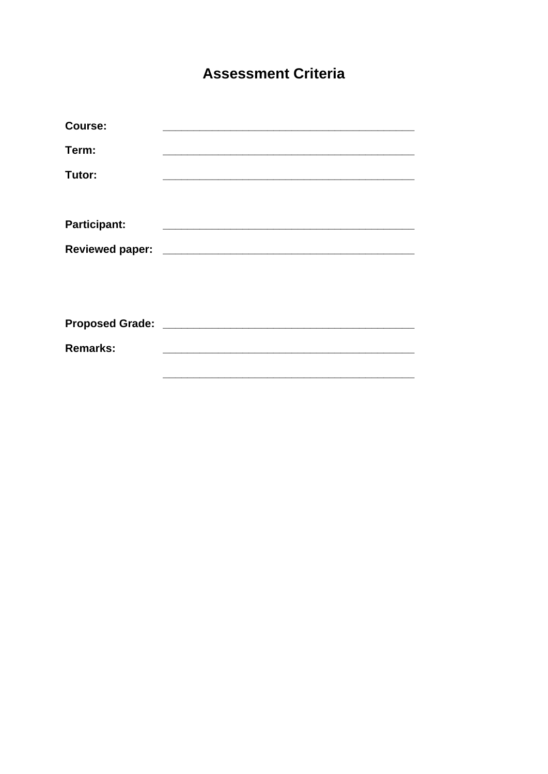## **Assessment Criteria**

| Course:             | <u> 1989 - Johann John Stone, markin fizikar (</u>          |  |
|---------------------|-------------------------------------------------------------|--|
| Term:               |                                                             |  |
| Tutor:              |                                                             |  |
| <b>Participant:</b> |                                                             |  |
|                     |                                                             |  |
|                     |                                                             |  |
| <b>Remarks:</b>     | <u> 1989 - Johann Barbara, martxa al III-lea (h. 1974).</u> |  |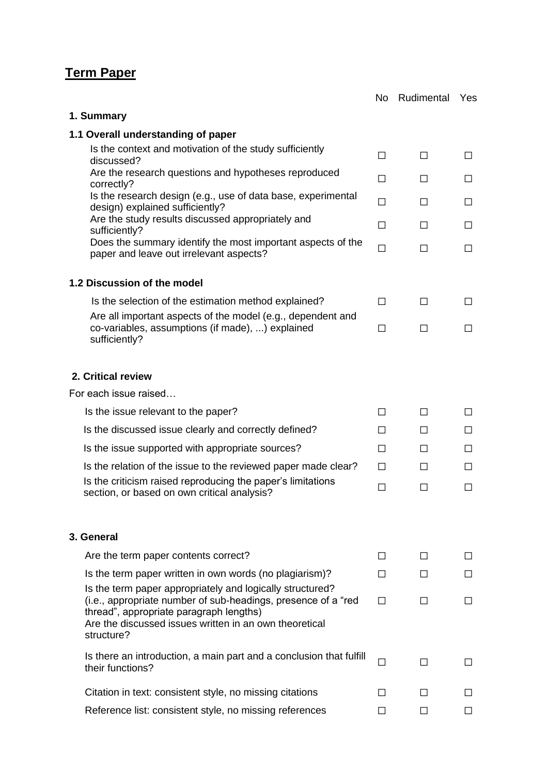## **Term Paper**

|                                                                                                                                                                                                                                                | No.    | Rudimental   | Yes          |
|------------------------------------------------------------------------------------------------------------------------------------------------------------------------------------------------------------------------------------------------|--------|--------------|--------------|
| 1. Summary                                                                                                                                                                                                                                     |        |              |              |
| 1.1 Overall understanding of paper                                                                                                                                                                                                             |        |              |              |
| Is the context and motivation of the study sufficiently<br>discussed?                                                                                                                                                                          | П      | П            | $\Box$       |
| Are the research questions and hypotheses reproduced<br>correctly?                                                                                                                                                                             | П      | П            | $\Box$       |
| Is the research design (e.g., use of data base, experimental<br>design) explained sufficiently?                                                                                                                                                | $\Box$ | $\Box$       | $\Box$       |
| Are the study results discussed appropriately and<br>sufficiently?                                                                                                                                                                             | П      | П            | $\Box$       |
| Does the summary identify the most important aspects of the<br>paper and leave out irrelevant aspects?                                                                                                                                         | П      | П            | $\Box$       |
| 1.2 Discussion of the model                                                                                                                                                                                                                    |        |              |              |
| Is the selection of the estimation method explained?                                                                                                                                                                                           | П      | $\Box$       | $\Box$       |
| Are all important aspects of the model (e.g., dependent and<br>co-variables, assumptions (if made), ) explained<br>sufficiently?                                                                                                               | П      | П            | $\Box$       |
| 2. Critical review                                                                                                                                                                                                                             |        |              |              |
| For each issue raised                                                                                                                                                                                                                          |        |              |              |
| Is the issue relevant to the paper?                                                                                                                                                                                                            | □      | $\Box$       | $\Box$       |
| Is the discussed issue clearly and correctly defined?                                                                                                                                                                                          | П      | $\perp$      | $\mathsf{L}$ |
| Is the issue supported with appropriate sources?                                                                                                                                                                                               | П      | П            | $\Box$       |
| Is the relation of the issue to the reviewed paper made clear?                                                                                                                                                                                 | П      | П            | $\Box$       |
| Is the criticism raised reproducing the paper's limitations<br>section, or based on own critical analysis?                                                                                                                                     | $\Box$ | $\mathsf{L}$ | П            |
| 3. General                                                                                                                                                                                                                                     |        |              |              |
| Are the term paper contents correct?                                                                                                                                                                                                           | $\Box$ | П            | $\Box$       |
| Is the term paper written in own words (no plagiarism)?                                                                                                                                                                                        | П      | $\Box$       | $\mathsf{L}$ |
| Is the term paper appropriately and logically structured?<br>(i.e., appropriate number of sub-headings, presence of a "red"<br>thread", appropriate paragraph lengths)<br>Are the discussed issues written in an own theoretical<br>structure? | П      | $\mathbf{L}$ | $\Box$       |
| Is there an introduction, a main part and a conclusion that fulfill<br>their functions?                                                                                                                                                        | П      | $\Box$       | $\mathsf{L}$ |
| Citation in text: consistent style, no missing citations                                                                                                                                                                                       | П      | П            | $\perp$      |
| Reference list: consistent style, no missing references                                                                                                                                                                                        | ΙI     | $\mathbf{L}$ | ΙI           |